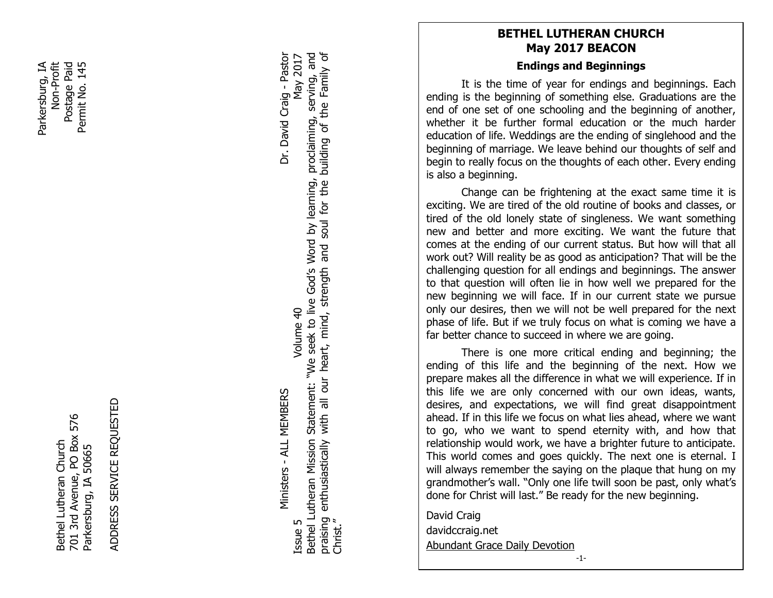Parkersburg, IA Postage Paid Non-Profit<br>Postage Paid Permit No. 145 Parkersburg, IA Permit No. 145

> 701 3rd Avenue, PO Box 576 701 3rd Avenue, PO Box 576 Bethel Lutheran Church Bethel Lutheran Church Parkersburg, IA 50665 Parkersburg, IA 50665

ADDRESS SERVICE REQUESTED ADDRESS SERVICE REQUESTED

Ministers - ALL MEMBERS Dr. David Craig - Pastor Ministers - ALL MEMBERS

Dr. David Craig - Pastor

Bethel Lutheran Mission Statement: "We seek to live God's Word by learning, proclaiming, serving, and praising enthusiastically with all our heart, mind, strength and soul for the building of the Family of building of the Family of Bethel Lutheran Mission Statement: "We seek to live God's Word by learning, proclaiming, serving, and May 2017 Issue 5  $\blacksquare$  Superintent of  $\blacksquare$  and  $\blacksquare$  and  $\blacksquare$  and  $\blacksquare$  and  $\blacksquare$  and  $\blacksquare$  and  $\blacksquare$  and  $\blacksquare$  and  $\blacksquare$  and  $\blacksquare$  and  $\blacksquare$  and  $\blacksquare$  and  $\blacksquare$  and  $\blacksquare$  and  $\blacksquare$  and  $\blacksquare$  and  $\blacksquare$  and  $\blacks$ with all our heart, mind, strength and soul for the Volume 40 praising enthusiastically<br>Christ." Issue 5

# **BETHEL LUTHERAN CHURCH May 2017 BEACON**

### **Endings and Beginnings**

It is the time of year for endings and beginnings. Each ending is the beginning of something else. Graduations are the end of one set of one schooling and the beginning of another, whether it be further formal education or the much harder education of life. Weddings are the ending of singlehood and the beginning of marriage. We leave behind our thoughts of self and begin to really focus on the thoughts of each other. Every ending is also a beginning.

on the<br>e frigh<br>of the<br>y state<br>more<br>of our<br>be as<br>for all Change can be frightening at the exact same time it is exciting. We are tired of the old routine of books and classes, or tired of the old lonely state of singleness. We want something new and better and more exciting. We want the future that comes at the ending of our current status. But how will that all work out? Will reality be as good as anticipation? That will be the challenging question for all endings and beginnings. The answer to that question will often lie in how well we prepared for the new beginning we will face. If in our current state we pursue only our desires, then we will not be well prepared for the next phase of life. But if we truly focus on what is coming we have a far better chance to succeed in where we are going.

 grandmother's wall. "Only one life twill soon be past, only what's There is one more critical ending and beginning; the ending of this life and the beginning of the next. How we prepare makes all the difference in what we will experience. If in this life we are only concerned with our own ideas, wants, desires, and expectations, we will find great disappointment ahead. If in this life we focus on what lies ahead, where we want to go, who we want to spend eternity with, and how that relationship would work, we have a brighter future to anticipate. This world comes and goes quickly. The next one is eternal. I will always remember the saying on the plaque that hung on my done for Christ will last." Be ready for the new beginning.

David Craig davidccraig.net Abundant Grace Daily Devotion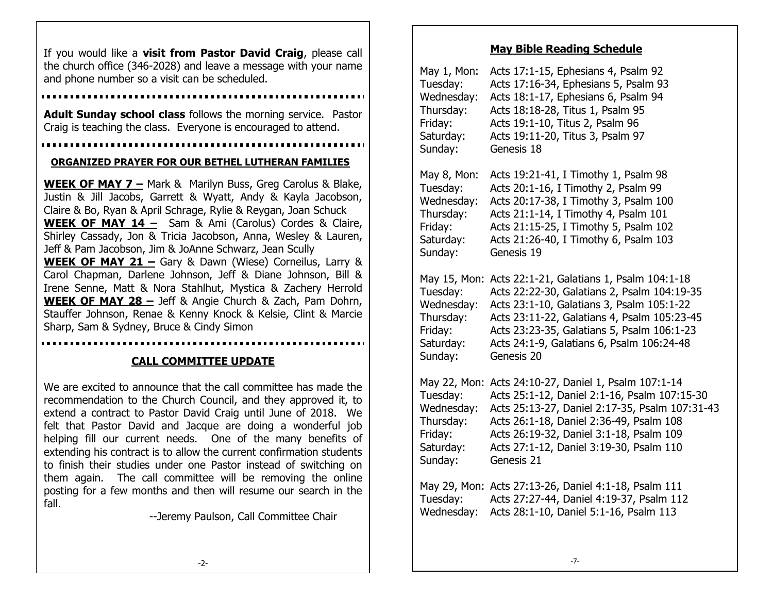the church office (346-2028) and leave a message with your name and phone number so a visit can be scheduled. If you would like a **visit from Pastor David Craig**, please call

**Adult Sunday school class** follows the morning service. Pastor Craig is teaching the class. Everyone is encouraged to attend.

......................

#### **ORGANIZED PRAYER FOR OUR BETHEL LUTHERAN FAMILIES**

**WEEK OF MAY 7 –** Mark & Marilyn Buss, Greg Carolus & Blake, Justin & Jill Jacobs, Garrett & Wyatt, Andy & Kayla Jacobson, Claire & Bo, Ryan & April Schrage, Rylie & Reygan, Joan Schuck **WEEK OF MAY 14 –** Sam & Ami (Carolus) Cordes & Claire, Shirley Cassady, Jon & Tricia Jacobson, Anna, Wesley & Lauren, Jeff & Pam Jacobson, Jim & JoAnne Schwarz, Jean Scully **WEEK OF MAY 21 –** Gary & Dawn (Wiese) Corneilus, Larry & Carol Chapman, Darlene Johnson, Jeff & Diane Johnson, Bill & Irene Senne, Matt & Nora Stahlhut, Mystica & Zachery Herrold **WEEK OF MAY 28 –** Jeff & Angie Church & Zach, Pam Dohrn, Stauffer Johnson, Renae & Kenny Knock & Kelsie, Clint & Marcie Sharp, Sam & Sydney, Bruce & Cindy Simon

# **CALL COMMITTEE UPDATE**

We are excited to announce that the call committee has made the recommendation to the Church Council, and they approved it, to extend a contract to Pastor David Craig until June of 2018. We felt that Pastor David and Jacque are doing a wonderful job helping fill our current needs. One of the many benefits of extending his contract is to allow the current confirmation students to finish their studies under one Pastor instead of switching on them again. The call committee will be removing the online posting for a few months and then will resume our search in the fall.

--Jeremy Paulson, Call Committee Chair

#### **May Bible Reading Schedule**

| May 1, Mon:            | Acts 17:1-15, Ephesians 4, Psalm 92                                                                                                        |
|------------------------|--------------------------------------------------------------------------------------------------------------------------------------------|
| Tuesday:               | Acts 17:16-34, Ephesians 5, Psalm 93                                                                                                       |
| Wednesday:             | Acts 18:1-17, Ephesians 6, Psalm 94                                                                                                        |
| Thursday:              | Acts 18:18-28, Titus 1, Psalm 95                                                                                                           |
| Friday:                | Acts 19:1-10, Titus 2, Psalm 96                                                                                                            |
| Saturday:              | Acts 19:11-20, Titus 3, Psalm 97                                                                                                           |
| Sunday:                | Genesis 18                                                                                                                                 |
| May 8, Mon:            | Acts 19:21-41, I Timothy 1, Psalm 98                                                                                                       |
| Tuesday:               | Acts 20:1-16, I Timothy 2, Psalm 99                                                                                                        |
| Wednesday:             | Acts 20:17-38, I Timothy 3, Psalm 100                                                                                                      |
| Thursday:              | Acts 21:1-14, I Timothy 4, Psalm 101                                                                                                       |
| Friday:                | Acts 21:15-25, I Timothy 5, Psalm 102                                                                                                      |
| Saturday:              | Acts 21:26-40, I Timothy 6, Psalm 103                                                                                                      |
| Sunday:                | Genesis 19                                                                                                                                 |
| May 15, Mon:           | Acts 22:1-21, Galatians 1, Psalm 104:1-18                                                                                                  |
| Tuesday:               | Acts 22:22-30, Galatians 2, Psalm 104:19-35                                                                                                |
| Wednesday:             | Acts 23:1-10, Galatians 3, Psalm 105:1-22                                                                                                  |
| Thursday:              | Acts 23:11-22, Galatians 4, Psalm 105:23-45                                                                                                |
| Friday:                | Acts 23:23-35, Galatians 5, Psalm 106:1-23                                                                                                 |
| Saturday:              | Acts 24:1-9, Galatians 6, Psalm 106:24-48                                                                                                  |
| Sunday:                | Genesis 20                                                                                                                                 |
| May 22, Mon:           | Acts 24:10-27, Daniel 1, Psalm 107:1-14                                                                                                    |
| Tuesday:               | Acts 25:1-12, Daniel 2:1-16, Psalm 107:15-30                                                                                               |
| Wednesday:             | Acts 25:13-27, Daniel 2:17-35, Psalm 107:31-43                                                                                             |
| Thursday:              | Acts 26:1-18, Daniel 2:36-49, Psalm 108                                                                                                    |
| Friday:                | Acts 26:19-32, Daniel 3:1-18, Psalm 109                                                                                                    |
| Saturday:              | Acts 27:1-12, Daniel 3:19-30, Psalm 110                                                                                                    |
| Sunday:                | Genesis 21                                                                                                                                 |
| Tuesday:<br>Wednesday: | May 29, Mon: Acts 27:13-26, Daniel 4:1-18, Psalm 111<br>Acts 27:27-44, Daniel 4:19-37, Psalm 112<br>Acts 28:1-10, Daniel 5:1-16, Psalm 113 |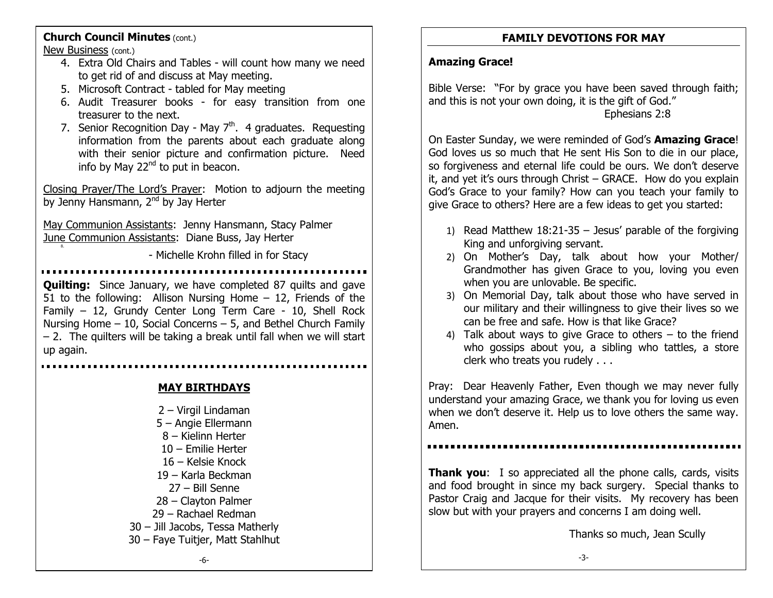## **Church Council Minutes** (cont.)

New Business (cont.)

8.

- 4. Extra Old Chairs and Tables will count how many we need to get rid of and discuss at May meeting.
- 5. Microsoft Contract tabled for May meeting
- 6. Audit Treasurer books for easy transition from one treasurer to the next.
- 7. Senior Recognition Day May  $7<sup>th</sup>$ . 4 graduates. Requesting information from the parents about each graduate along with their senior picture and confirmation picture. Need info by May  $22<sup>nd</sup>$  to put in beacon.

Closing Prayer/The Lord's Prayer: Motion to adjourn the meeting by Jenny Hansmann, 2<sup>nd</sup> by Jay Herter

May Communion Assistants: Jenny Hansmann, Stacy Palmer June Communion Assistants: Diane Buss, Jay Herter

- Michelle Krohn filled in for Stacy

**Quilting:** Since January, we have completed 87 quilts and gave 51 to the following: Allison Nursing Home – 12, Friends of the Family – 12, Grundy Center Long Term Care - 10, Shell Rock Nursing Home – 10, Social Concerns – 5, and Bethel Church Family  $-$  2. The quilters will be taking a break until fall when we will start up again.

**MAY BIRTHDAYS**

– Virgil Lindaman – Angie Ellermann – Kielinn Herter – Emilie Herter – Kelsie Knock – Karla Beckman – Bill Senne – Clayton Palmer – Rachael Redman – Jill Jacobs, Tessa Matherly – Faye Tuitjer, Matt Stahlhut

## **FAMILY DEVOTIONS FOR MAY**

#### **Amazing Grace!**

Bible Verse: "For by grace you have been saved through faith; and this is not your own doing, it is the gift of God." Ephesians 2:8

On Easter Sunday, we were reminded of God's **Amazing Grace**! God loves us so much that He sent His Son to die in our place, so forgiveness and eternal life could be ours. We don't deserve it, and yet it's ours through Christ – GRACE. How do you explain God's Grace to your family? How can you teach your family to give Grace to others? Here are a few ideas to get you started:

- 1) Read Matthew 18:21-35 Jesus' parable of the forgiving King and unforgiving servant.
- 2) On Mother's Day, talk about how your Mother/ Grandmother has given Grace to you, loving you even when you are unlovable. Be specific.
- 3) On Memorial Day, talk about those who have served in our military and their willingness to give their lives so we can be free and safe. How is that like Grace?
- 4) Talk about ways to give Grace to others to the friend who gossips about you, a sibling who tattles, a store clerk who treats you rudely . . .

Pray: Dear Heavenly Father, Even though we may never fully understand your amazing Grace, we thank you for loving us even when we don't deserve it. Help us to love others the same way. Amen.

**Thank you:** I so appreciated all the phone calls, cards, visits and food brought in since my back surgery. Special thanks to Pastor Craig and Jacque for their visits. My recovery has been slow but with your prayers and concerns I am doing well.

Thanks so much, Jean Scully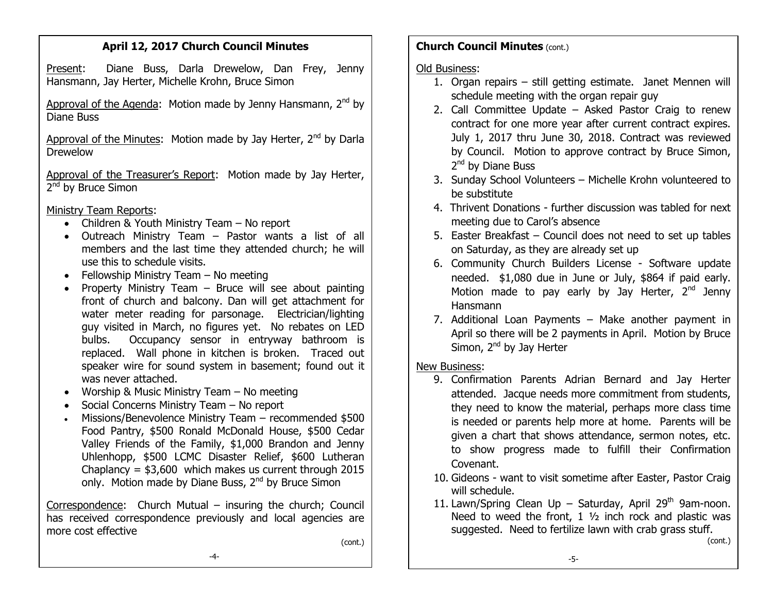## **April 12, 2017 Church Council Minutes**

Present: Diane Buss, Darla Drewelow, Dan Frey, Jenny Hansmann, Jay Herter, Michelle Krohn, Bruce Simon

Approval of the Agenda: Motion made by Jenny Hansmann,  $2^{nd}$  by Diane Buss

Approval of the Minutes: Motion made by Jay Herter,  $2^{nd}$  by Darla Drewelow

Approval of the Treasurer's Report: Motion made by Jay Herter, 2<sup>nd</sup> by Bruce Simon

Ministry Team Reports:

- Children & Youth Ministry Team No report
- Outreach Ministry Team Pastor wants a list of all members and the last time they attended church; he will use this to schedule visits.
- Fellowship Ministry Team No meeting
- Property Ministry Team  $-$  Bruce will see about painting front of church and balcony. Dan will get attachment for water meter reading for parsonage. Electrician/lighting guy visited in March, no figures yet. No rebates on LED bulbs. Occupancy sensor in entryway bathroom is replaced. Wall phone in kitchen is broken. Traced out speaker wire for sound system in basement; found out it was never attached.
- Worship & Music Ministry Team No meeting
- Social Concerns Ministry Team No report
- Missions/Benevolence Ministry Team recommended \$500 Food Pantry, \$500 Ronald McDonald House, \$500 Cedar Valley Friends of the Family, \$1,000 Brandon and Jenny Uhlenhopp, \$500 LCMC Disaster Relief, \$600 Lutheran Chaplancy =  $$3,600$  which makes us current through 2015 only. Motion made by Diane Buss, 2<sup>nd</sup> by Bruce Simon

Correspondence: Church Mutual – insuring the church; Council has received correspondence previously and local agencies are more cost effective

(cont.)

## **Church Council Minutes** (cont.)

Old Business:

- 1. Organ repairs still getting estimate. Janet Mennen will schedule meeting with the organ repair guy
- 2. Call Committee Update Asked Pastor Craig to renew contract for one more year after current contract expires. July 1, 2017 thru June 30, 2018. Contract was reviewed by Council. Motion to approve contract by Bruce Simon, 2<sup>nd</sup> by Diane Buss
- 3. Sunday School Volunteers Michelle Krohn volunteered to be substitute
- 4. Thrivent Donations further discussion was tabled for next meeting due to Carol's absence
- 5. Easter Breakfast Council does not need to set up tables on Saturday, as they are already set up
- 6. Community Church Builders License Software update needed. \$1,080 due in June or July, \$864 if paid early. Motion made to pay early by Jay Herter,  $2<sup>nd</sup>$  Jenny Hansmann
- 7. Additional Loan Payments Make another payment in April so there will be 2 payments in April. Motion by Bruce Simon, 2<sup>nd</sup> by Jay Herter

New Business:

- 9. Confirmation Parents Adrian Bernard and Jay Herter attended. Jacque needs more commitment from students, they need to know the material, perhaps more class time is needed or parents help more at home. Parents will be given a chart that shows attendance, sermon notes, etc. to show progress made to fulfill their Confirmation Covenant.
- 10. Gideons want to visit sometime after Easter, Pastor Craig will schedule.
- 11. Lawn/Spring Clean Up Saturday, April 29<sup>th</sup> 9am-noon. Need to weed the front,  $1 \frac{1}{2}$  inch rock and plastic was suggested. Need to fertilize lawn with crab grass stuff.

(cont.)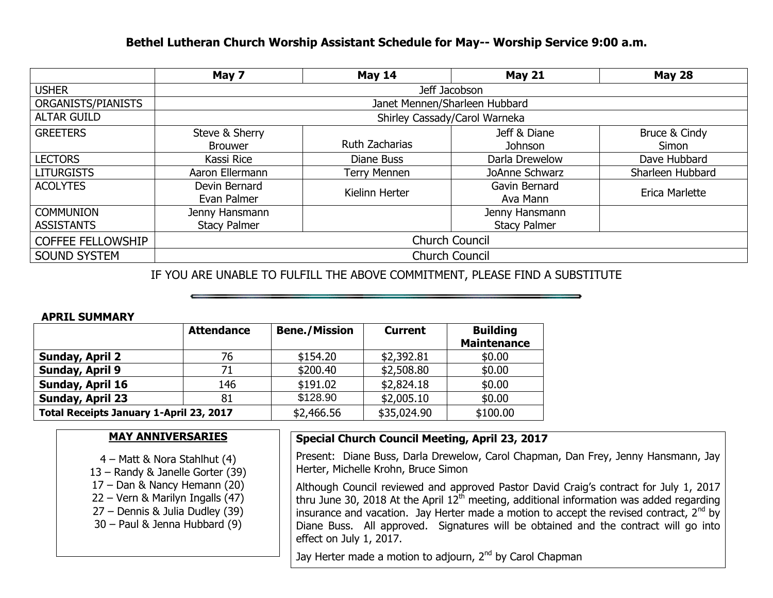## **Bethel Lutheran Church Worship Assistant Schedule for May-- Worship Service 9:00 a.m.**

|                          | May 7                         | <b>May 14</b>         | <b>May 21</b>       | <b>May 28</b>    |  |  |
|--------------------------|-------------------------------|-----------------------|---------------------|------------------|--|--|
| <b>USHER</b>             | Jeff Jacobson                 |                       |                     |                  |  |  |
| ORGANISTS/PIANISTS       | Janet Mennen/Sharleen Hubbard |                       |                     |                  |  |  |
| <b>ALTAR GUILD</b>       | Shirley Cassady/Carol Warneka |                       |                     |                  |  |  |
| <b>GREETERS</b>          | Steve & Sherry                |                       | Jeff & Diane        | Bruce & Cindy    |  |  |
|                          | <b>Brouwer</b>                | <b>Ruth Zacharias</b> | Johnson             | Simon            |  |  |
| <b>LECTORS</b>           | Kassi Rice                    | Diane Buss            | Darla Drewelow      | Dave Hubbard     |  |  |
| <b>LITURGISTS</b>        | Aaron Ellermann               | <b>Terry Mennen</b>   | JoAnne Schwarz      | Sharleen Hubbard |  |  |
| <b>ACOLYTES</b>          | Devin Bernard                 | Kielinn Herter        | Gavin Bernard       | Erica Marlette   |  |  |
|                          | Evan Palmer                   |                       | Ava Mann            |                  |  |  |
| <b>COMMUNION</b>         | Jenny Hansmann                |                       | Jenny Hansmann      |                  |  |  |
| <b>ASSISTANTS</b>        | <b>Stacy Palmer</b>           |                       | <b>Stacy Palmer</b> |                  |  |  |
| <b>COFFEE FELLOWSHIP</b> | <b>Church Council</b>         |                       |                     |                  |  |  |
| <b>SOUND SYSTEM</b>      | <b>Church Council</b>         |                       |                     |                  |  |  |

IF YOU ARE UNABLE TO FULFILL THE ABOVE COMMITMENT, PLEASE FIND A SUBSTITUTE

#### **APRIL SUMMARY**

|                                         | <b>Attendance</b> | <b>Bene./Mission</b> | <b>Current</b> | <b>Building</b><br><b>Maintenance</b> |
|-----------------------------------------|-------------------|----------------------|----------------|---------------------------------------|
| Sunday, April 2                         | 76                | \$154.20             | \$2,392.81     | \$0.00                                |
| Sunday, April 9                         | 71                | \$200.40             | \$2,508.80     | \$0.00                                |
| Sunday, April 16                        | 146               | \$191.02             | \$2,824.18     | \$0.00                                |
| Sunday, April 23                        | 81                | \$128.90             | \$2,005.10     | \$0.00                                |
| Total Receipts January 1-April 23, 2017 |                   | \$2,466.56           | \$35,024.90    | \$100.00                              |

### **MAY ANNIVERSARIES**

- 4 Matt & Nora Stahlhut (4)
- 13 Randy & Janelle Gorter (39)
- 17 Dan & Nancy Hemann (20)
- 22 Vern & Marilyn Ingalls (47)
- 27 Dennis & Julia Dudley (39)
- 30 Paul & Jenna Hubbard (9)

### **Special Church Council Meeting, April 23, 2017**

Present: Diane Buss, Darla Drewelow, Carol Chapman, Dan Frey, Jenny Hansmann, Jay Herter, Michelle Krohn, Bruce Simon

Although Council reviewed and approved Pastor David Craig's contract for July 1, 2017 thru June 30, 2018 At the April  $12<sup>th</sup>$  meeting, additional information was added regarding insurance and vacation. Jay Herter made a motion to accept the revised contract,  $2^{nd}$  by Diane Buss. All approved. Signatures will be obtained and the contract will go into effect on July 1, 2017.

Jay Herter made a motion to adjourn, 2<sup>nd</sup> by Carol Chapman